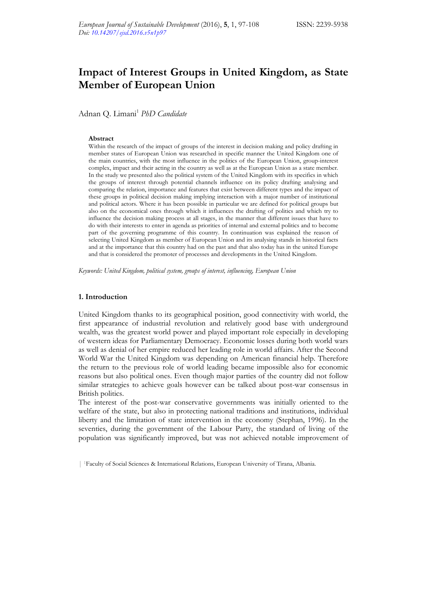# **Impact of Interest Groups in United Kingdom, as State Member of European Union**

Adnan Q. Limani<sup>1</sup> *PhD Candidate* 

## **Abstract**

Within the research of the impact of groups of the interest in decision making and policy drafting in member states of European Union was researched in specific manner the United Kingdom one of the main countries, with the most influence in the politics of the European Union, group-interest complex, impact and their acting in the country as well as at the European Union as a state member. In the study we presented also the political system of the United Kingdom with its specifics in which the groups of interest through potential channels influence on its policy drafting analysing and comparing the relation, importance and features that exist between different types and the impact of these groups in political decision making implying interaction with a major number of institutional and political actors. Where it has been possible in particular we are defined for political groups but also on the economical ones through which it influences the drafting of politics and which try to influence the decision making process at all stages, in the manner that different issues that have to do with their interests to enter in agenda as priorities of internal and external politics and to become part of the governing programme of this country. In continuation was explained the reason of selecting United Kingdom as member of European Union and its analysing stands in historical facts and at the importance that this country had on the past and that also today has in the united Europe and that is considered the promoter of processes and developments in the United Kingdom.

*Keywords: United Kingdom, political system, groups of interest, influencing, European Union* 

#### **1. Introduction**

United Kingdom thanks to its geographical position, good connectivity with world, the first appearance of industrial revolution and relatively good base with underground wealth, was the greatest world power and played important role especially in developing of western ideas for Parliamentary Democracy. Economic losses during both world wars as well as denial of her empire reduced her leading role in world affairs. After the Second World War the United Kingdom was depending on American financial help. Therefore the return to the previous role of world leading became impossible also for economic reasons but also political ones. Even though major parties of the country did not follow similar strategies to achieve goals however can be talked about post-war consensus in British politics.

The interest of the post-war conservative governments was initially oriented to the welfare of the state, but also in protecting national traditions and institutions, individual liberty and the limitation of state intervention in the economy (Stephan, 1996). In the seventies, during the government of the Labour Party, the standard of living of the population was significantly improved, but was not achieved notable improvement of

<sup>| 1</sup>Faculty of Social Sciences & International Relations, European University of Tirana, Albania.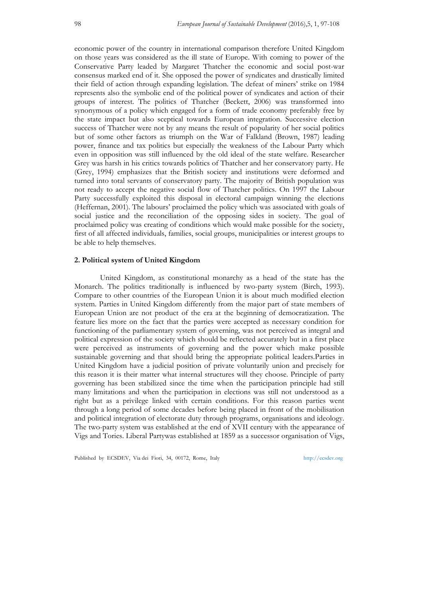economic power of the country in international comparison therefore United Kingdom on those years was considered as the ill state of Europe. With coming to power of the Conservative Party leaded by Margaret Thatcher the economic and social post-war consensus marked end of it. She opposed the power of syndicates and drastically limited their field of action through expanding legislation. The defeat of miners' strike on 1984 represents also the symbolic end of the political power of syndicates and action of their groups of interest. The politics of Thatcher (Beckett, 2006) was transformed into synonymous of a policy which engaged for a form of trade economy preferably free by the state impact but also sceptical towards European integration. Successive election success of Thatcher were not by any means the result of popularity of her social politics but of some other factors as triumph on the War of Falkland (Brown, 1987) leading power, finance and tax politics but especially the weakness of the Labour Party which even in opposition was still influenced by the old ideal of the state welfare. Researcher Grey was harsh in his critics towards politics of Thatcher and her conservatory party. He (Grey, 1994) emphasizes that the British society and institutions were deformed and turned into total servants of conservatory party. The majority of British population was not ready to accept the negative social flow of Thatcher politics. On 1997 the Labour Party successfully exploited this disposal in electoral campaign winning the elections (Heffernan, 2001). The labours' proclaimed the policy which was associated with goals of social justice and the reconciliation of the opposing sides in society. The goal of proclaimed policy was creating of conditions which would make possible for the society, first of all affected individuals, families, social groups, municipalities or interest groups to be able to help themselves.

# **2. Political system of United Kingdom**

United Kingdom, as constitutional monarchy as a head of the state has the Monarch. The politics traditionally is influenced by two-party system (Birch, 1993). Compare to other countries of the European Union it is about much modified election system. Parties in United Kingdom differently from the major part of state members of European Union are not product of the era at the beginning of democratization. The feature lies more on the fact that the parties were accepted as necessary condition for functioning of the parliamentary system of governing, was not perceived as integral and political expression of the society which should be reflected accurately but in a first place were perceived as instruments of governing and the power which make possible sustainable governing and that should bring the appropriate political leaders.Parties in United Kingdom have a judicial position of private voluntarily union and precisely for this reason it is their matter what internal structures will they choose. Principle of party governing has been stabilized since the time when the participation principle had still many limitations and when the participation in elections was still not understood as a right but as a privilege linked with certain conditions. For this reason parties went through a long period of some decades before being placed in front of the mobilisation and political integration of electorate duty through programs, organisations and ideology. The two-party system was established at the end of XVII century with the appearance of Vigs and Tories. Liberal Partywas established at 1859 as a successor organisation of Vigs,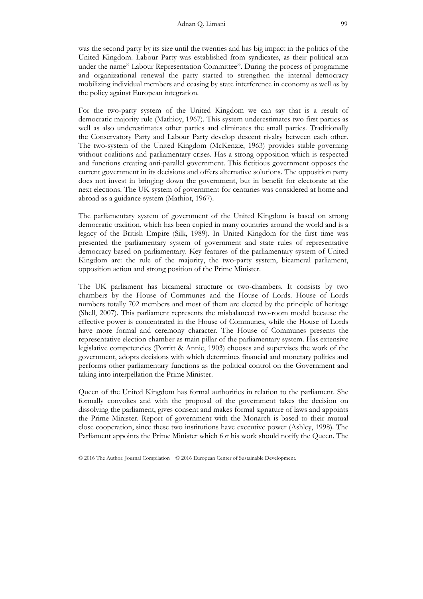was the second party by its size until the twenties and has big impact in the politics of the United Kingdom. Labour Party was established from syndicates, as their political arm under the name" Labour Representation Committee". During the process of programme and organizational renewal the party started to strengthen the internal democracy mobilizing individual members and ceasing by state interference in economy as well as by the policy against European integration.

For the two-party system of the United Kingdom we can say that is a result of democratic majority rule (Mathioy, 1967). This system underestimates two first parties as well as also underestimates other parties and eliminates the small parties. Traditionally the Conservatory Party and Labour Party develop descent rivalry between each other. The two-system of the United Kingdom (McKenzie, 1963) provides stable governing without coalitions and parliamentary crises. Has a strong opposition which is respected and functions creating anti-parallel government. This fictitious government opposes the current government in its decisions and offers alternative solutions. The opposition party does not invest in bringing down the government, but in benefit for electorate at the next elections. The UK system of government for centuries was considered at home and abroad as a guidance system (Mathiot, 1967).

The parliamentary system of government of the United Kingdom is based on strong democratic tradition, which has been copied in many countries around the world and is a legacy of the British Empire (Silk, 1989). In United Kingdom for the first time was presented the parliamentary system of government and state rules of representative democracy based on parliamentary. Key features of the parliamentary system of United Kingdom are: the rule of the majority, the two-party system, bicameral parliament, opposition action and strong position of the Prime Minister.

The UK parliament has bicameral structure or two-chambers. It consists by two chambers by the House of Communes and the House of Lords. House of Lords numbers totally 702 members and most of them are elected by the principle of heritage (Shell, 2007). This parliament represents the misbalanced two-room model because the effective power is concentrated in the House of Communes, while the House of Lords have more formal and ceremony character. The House of Communes presents the representative election chamber as main pillar of the parliamentary system. Has extensive legislative competencies (Porritt & Annie, 1903) chooses and supervises the work of the government, adopts decisions with which determines financial and monetary politics and performs other parliamentary functions as the political control on the Government and taking into interpellation the Prime Minister.

Queen of the United Kingdom has formal authorities in relation to the parliament. She formally convokes and with the proposal of the government takes the decision on dissolving the parliament, gives consent and makes formal signature of laws and appoints the Prime Minister. Report of government with the Monarch is based to their mutual close cooperation, since these two institutions have executive power (Ashley, 1998). The Parliament appoints the Prime Minister which for his work should notify the Queen. The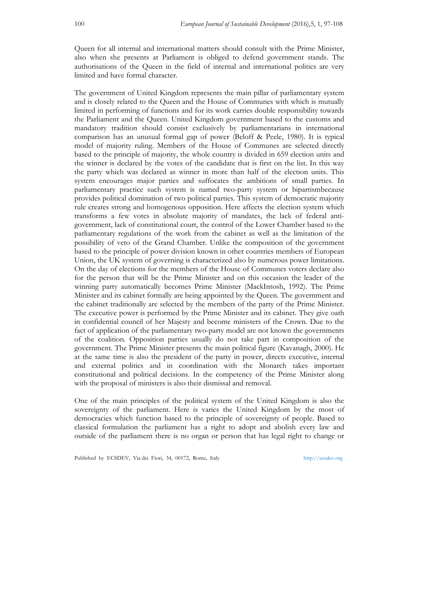Queen for all internal and international matters should consult with the Prime Minister, also when she presents at Parliament is obliged to defend government stands. The authorisations of the Queen in the field of internal and international politics are very limited and have formal character.

The government of United Kingdom represents the main pillar of parliamentary system and is closely related to the Queen and the House of Communes with which is mutually limited in performing of functions and for its work carries double responsibility towards the Parliament and the Queen. United Kingdom government based to the customs and mandatory tradition should consist exclusively by parliamentarians in international comparison has an unusual formal gap of power (Beloff & Peele, 1980). It is typical model of majority ruling. Members of the House of Communes are selected directly based to the principle of majority, the whole country is divided in 659 election units and the winner is declared by the votes of the candidate that is first on the list. In this way the party which was declared as winner in more than half of the election units. This system encourages major parties and suffocates the ambitions of small parties. In parliamentary practice such system is named two-party system or bipartismbecause provides political domination of two political parties. This system of democratic majority rule creates strong and homogenous opposition. Here affects the election system which transforms a few votes in absolute majority of mandates, the lack of federal antigovernment, lack of constitutional court, the control of the Lower Chamber based to the parliamentary regulations of the work from the cabinet as well as the limitation of the possibility of veto of the Grand Chamber. Unlike the composition of the government based to the principle of power division known in other countries members of European Union, the UK system of governing is characterized also by numerous power limitations. On the day of elections for the members of the House of Communes voters declare also for the person that will be the Prime Minister and on this occasion the leader of the winning party automatically becomes Prime Minister (MackIntosh, 1992). The Prime Minister and its cabinet formally are being appointed by the Queen. The government and the cabinet traditionally are selected by the members of the party of the Prime Minister. The executive power is performed by the Prime Minister and its cabinet. They give oath in confidential council of her Majesty and become ministers of the Crown. Due to the fact of application of the parliamentary two-party model are not known the governments of the coalition. Opposition parties usually do not take part in composition of the government. The Prime Minister presents the main political figure (Kavanagh, 2000). He at the same time is also the president of the party in power, directs executive, internal and external politics and in coordination with the Monarch takes important constitutional and political decisions. In the competency of the Prime Minister along with the proposal of ministers is also their dismissal and removal.

One of the main principles of the political system of the United Kingdom is also the sovereignty of the parliament. Here is varies the United Kingdom by the most of democracies which function based to the principle of sovereignty of people. Based to classical formulation the parliament has a right to adopt and abolish every law and outside of the parliament there is no organ or person that has legal right to change or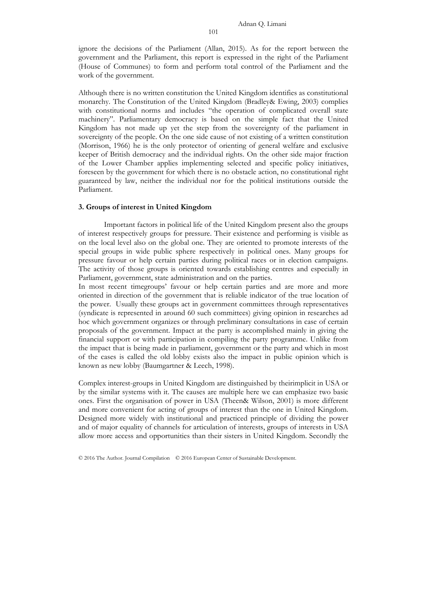ignore the decisions of the Parliament (Allan, 2015). As for the report between the government and the Parliament, this report is expressed in the right of the Parliament (House of Communes) to form and perform total control of the Parliament and the work of the government.

Although there is no written constitution the United Kingdom identifies as constitutional monarchy. The Constitution of the United Kingdom (Bradley& Ewing, 2003) complies with constitutional norms and includes "the operation of complicated overall state machinery". Parliamentary democracy is based on the simple fact that the United Kingdom has not made up yet the step from the sovereignty of the parliament in sovereignty of the people. On the one side cause of not existing of a written constitution (Morrison, 1966) he is the only protector of orienting of general welfare and exclusive keeper of British democracy and the individual rights. On the other side major fraction of the Lower Chamber applies implementing selected and specific policy initiatives, foreseen by the government for which there is no obstacle action, no constitutional right guaranteed by law, neither the individual nor for the political institutions outside the Parliament.

#### **3. Groups of interest in United Kingdom**

Important factors in political life of the United Kingdom present also the groups of interest respectively groups for pressure. Their existence and performing is visible as on the local level also on the global one. They are oriented to promote interests of the special groups in wide public sphere respectively in political ones. Many groups for pressure favour or help certain parties during political races or in election campaigns. The activity of those groups is oriented towards establishing centres and especially in Parliament, government, state administration and on the parties.

In most recent timegroups' favour or help certain parties and are more and more oriented in direction of the government that is reliable indicator of the true location of the power. Usually these groups act in government committees through representatives (syndicate is represented in around 60 such committees) giving opinion in researches ad hoc which government organizes or through preliminary consultations in case of certain proposals of the government. Impact at the party is accomplished mainly in giving the financial support or with participation in compiling the party programme. Unlike from the impact that is being made in parliament, government or the party and which in most of the cases is called the old lobby exists also the impact in public opinion which is known as new lobby (Baumgartner & Leech, 1998).

Complex interest-groups in United Kingdom are distinguished by theirimplicit in USA or by the similar systems with it. The causes are multiple here we can emphasize two basic ones. First the organisation of power in USA (Theen& Wilson, 2001) is more different and more convenient for acting of groups of interest than the one in United Kingdom. Designed more widely with institutional and practiced principle of dividing the power and of major equality of channels for articulation of interests, groups of interests in USA allow more access and opportunities than their sisters in United Kingdom. Secondly the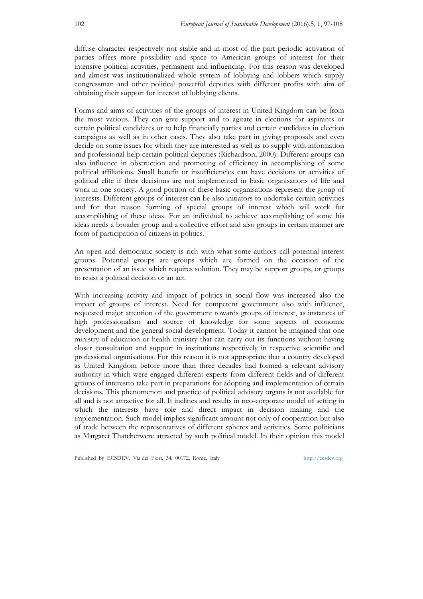diffuse character respectively not stable and in most of the part periodic activation of parties offers more possibility and space to American groups of interest for their intensive political activities, permanent and influencing. For this reason was developed and almost was institutionalized whole system of lobbying and lobbers which supply congressman and other political powerful deputies with different profits with aim of obtaining their support for interest of lobbying clients.

Forms and aims of activities of the groups of interest in United Kingdom can be from the most various. They can give support and to agitate in elections for aspirants or certain political candidates or to help financially parties and certain candidates in election campaigns as well as in other cases. They also take part in giving proposals and even decide on some issues for which they are interested as well as to supply with information and professional help certain political deputies (Richardson, 2000). Different groups can also influence in obstruction and promoting of efficiency in accomplishing of some political affiliations. Small benefit or insufficiencies can have decisions or activities of political elite if their decisions are not implemented in basic organisations of life and work in one society. A good portion of these basic organisations represent the group of interests. Different groups of interest can be also initiators to undertake certain activities and for that reason forming of special groups of interest which will work for accomplishing of these ideas. For an individual to achieve accomplishing of some his ideas needs a broader group and a collective effort and also groups in certain manner are form of participation of citizens in politics.

An open and democratic society is rich with what some authors call potential interest groups. Potential groups are groups which are formed on the occasion of the presentation of an issue which requires solution. They may be support groups, or groups to resist a political decision or an act.

With increasing activity and impact of politics in social flow was increased also the impact of groups of interest. Need for competent government also with influence, requested major attention of the government towards groups of interest, as instances of high professionalism and source of knowledge for some aspects of economic development and the general social development. Today it cannot be imagined that one ministry of education or health ministry that can carry out its functions without having closer consultation and support in institutions respectively in respective scientific and professional organisations. For this reason it is not appropriate that a country developed as United Kingdom before more than three decades had formed a relevant advisory authority in which were engaged different experts from different fields and of different groups of interestto take part in preparations for adopting and implementation of certain decisions. This phenomenon and practice of political advisory organs is not available for all and is not attractive for all. It inclines and results in neo-corporate model of setting in which the interests have role and direct impact in decision making and the implementation. Such model implies significant amount not only of cooperation but also of trade between the representatives of different spheres and activities. Some politicians as Margaret Thatcherwere attracted by such political model. In their opinion this model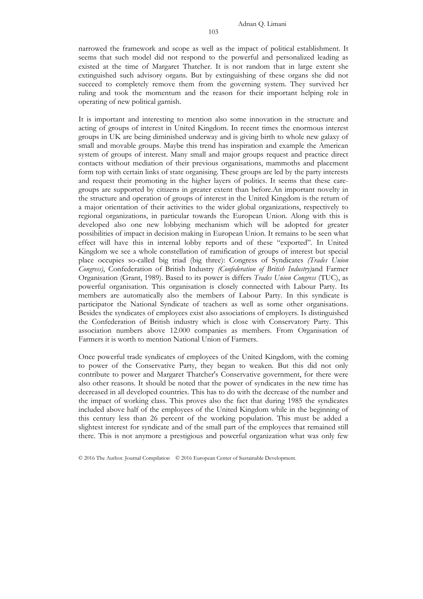narrowed the framework and scope as well as the impact of political establishment. It seems that such model did not respond to the powerful and personalized leading as existed at the time of Margaret Thatcher. It is not random that in large extent she extinguished such advisory organs. But by extinguishing of these organs she did not succeed to completely remove them from the governing system. They survived her ruling and took the momentum and the reason for their important helping role in operating of new political garnish.

It is important and interesting to mention also some innovation in the structure and acting of groups of interest in United Kingdom. In recent times the enormous interest groups in UK are being diminished underway and is giving birth to whole new galaxy of small and movable groups. Maybe this trend has inspiration and example the American system of groups of interest. Many small and major groups request and practice direct contacts without mediation of their previous organisations, mammoths and placement form top with certain links of state organising. These groups are led by the party interests and request their promoting in the higher layers of politics. It seems that these caregroups are supported by citizens in greater extent than before.An important novelty in the structure and operation of groups of interest in the United Kingdom is the return of a major orientation of their activities to the wider global organizations, respectively to regional organizations, in particular towards the European Union. Along with this is developed also one new lobbying mechanism which will be adopted for greater possibilities of impact in decision making in European Union. It remains to be seen what effect will have this in internal lobby reports and of these "exported". In United Kingdom we see a whole constellation of ramification of groups of interest but special place occupies so-called big triad (big three): Congress of Syndicates *(Trades Union Congress)*, Confederation of British Industry *(Confederation of British Industry)*and Farmer Organisation (Grant, 1989). Based to its power is differs *Trades Union Congress* (TUC), as powerful organisation. This organisation is closely connected with Labour Party. Its members are automatically also the members of Labour Party. In this syndicate is participator the National Syndicate of teachers as well as some other organisations. Besides the syndicates of employees exist also associations of employers. Is distinguished the Confederation of British industry which is close with Conservatory Party. This association numbers above 12.000 companies as members. From Organisation of Farmers it is worth to mention National Union of Farmers.

Once powerful trade syndicates of employees of the United Kingdom, with the coming to power of the Conservative Party, they began to weaken. But this did not only contribute to power and Margaret Thatcher's Conservative government, for there were also other reasons. It should be noted that the power of syndicates in the new time has decreased in all developed countries. This has to do with the decrease of the number and the impact of working class. This proves also the fact that during 1985 the syndicates included above half of the employees of the United Kingdom while in the beginning of this century less than 26 percent of the working population. This must be added a slightest interest for syndicate and of the small part of the employees that remained still there. This is not anymore a prestigious and powerful organization what was only few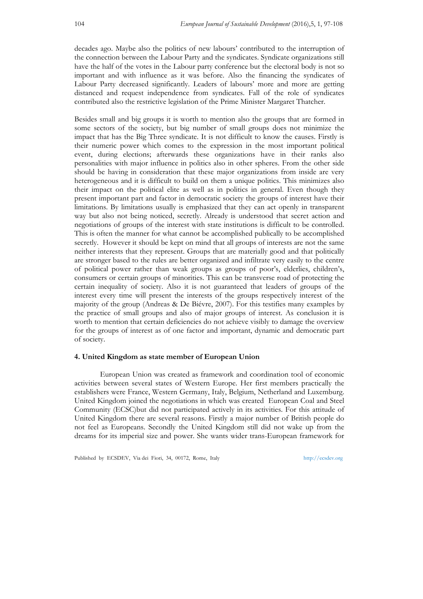decades ago. Maybe also the politics of new labours' contributed to the interruption of the connection between the Labour Party and the syndicates. Syndicate organizations still have the half of the votes in the Labour party conference but the electoral body is not so important and with influence as it was before. Also the financing the syndicates of Labour Party decreased significantly. Leaders of labours' more and more are getting distanced and request independence from syndicates. Fall of the role of syndicates contributed also the restrictive legislation of the Prime Minister Margaret Thatcher.

Besides small and big groups it is worth to mention also the groups that are formed in some sectors of the society, but big number of small groups does not minimize the impact that has the Big Three syndicate. It is not difficult to know the causes. Firstly is their numeric power which comes to the expression in the most important political event, during elections; afterwards these organizations have in their ranks also personalities with major influence in politics also in other spheres. From the other side should be having in consideration that these major organizations from inside are very heterogeneous and it is difficult to build on them a unique politics. This minimizes also their impact on the political elite as well as in politics in general. Even though they present important part and factor in democratic society the groups of interest have their limitations. By limitations usually is emphasized that they can act openly in transparent way but also not being noticed, secretly. Already is understood that secret action and negotiations of groups of the interest with state institutions is difficult to be controlled. This is often the manner for what cannot be accomplished publically to be accomplished secretly. However it should be kept on mind that all groups of interests are not the same neither interests that they represent. Groups that are materially good and that politically are stronger based to the rules are better organized and infiltrate very easily to the centre of political power rather than weak groups as groups of poor's, elderlies, children's, consumers or certain groups of minorities. This can be transverse road of protecting the certain inequality of society. Also it is not guaranteed that leaders of groups of the interest every time will present the interests of the groups respectively interest of the majority of the group (Andreas & De Biévre, 2007). For this testifies many examples by the practice of small groups and also of major groups of interest. As conclusion it is worth to mention that certain deficiencies do not achieve visibly to damage the overview for the groups of interest as of one factor and important, dynamic and democratic part of society.

#### **4. United Kingdom as state member of European Union**

European Union was created as framework and coordination tool of economic activities between several states of Western Europe. Her first members practically the establishers were France, Western Germany, Italy, Belgium, Netherland and Luxemburg. United Kingdom joined the negotiations in which was created European Coal and Steel Community (ECSC)but did not participated actively in its activities. For this attitude of United Kingdom there are several reasons. Firstly a major number of British people do not feel as Europeans. Secondly the United Kingdom still did not wake up from the dreams for its imperial size and power. She wants wider trans-European framework for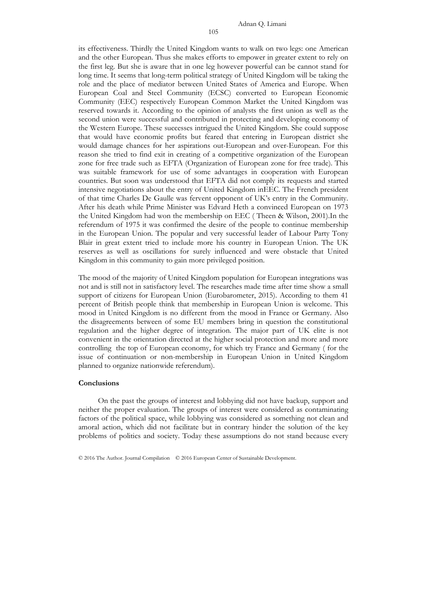its effectiveness. Thirdly the United Kingdom wants to walk on two legs: one American and the other European. Thus she makes efforts to empower in greater extent to rely on the first leg. But she is aware that in one leg however powerful can be cannot stand for long time. It seems that long-term political strategy of United Kingdom will be taking the role and the place of mediator between United States of America and Europe. When European Coal and Steel Community (ECSC) converted to European Economic Community (EEC) respectively European Common Market the United Kingdom was reserved towards it. According to the opinion of analysts the first union as well as the second union were successful and contributed in protecting and developing economy of the Western Europe. These successes intrigued the United Kingdom. She could suppose that would have economic profits but feared that entering in European district she would damage chances for her aspirations out-European and over-European. For this reason she tried to find exit in creating of a competitive organization of the European zone for free trade such as EFTA (Organization of European zone for free trade). This was suitable framework for use of some advantages in cooperation with European countries. But soon was understood that EFTA did not comply its requests and started intensive negotiations about the entry of United Kingdom inEEC. The French president of that time Charles De Gaulle was fervent opponent of UK's entry in the Community. After his death while Prime Minister was Edvard Heth a convinced European on 1973 the United Kingdom had won the membership on EEC ( Theen & Wilson, 2001).In the referendum of 1975 it was confirmed the desire of the people to continue membership in the European Union. The popular and very successful leader of Labour Party Tony Blair in great extent tried to include more his country in European Union. The UK reserves as well as oscillations for surely influenced and were obstacle that United Kingdom in this community to gain more privileged position.

The mood of the majority of United Kingdom population for European integrations was not and is still not in satisfactory level. The researches made time after time show a small support of citizens for European Union (Eurobarometer, 2015). According to them 41 percent of British people think that membership in European Union is welcome. This mood in United Kingdom is no different from the mood in France or Germany. Also the disagreements between of some EU members bring in question the constitutional regulation and the higher degree of integration. The major part of UK elite is not convenient in the orientation directed at the higher social protection and more and more controlling the top of European economy, for which try France and Germany ( for the issue of continuation or non-membership in European Union in United Kingdom planned to organize nationwide referendum).

### **Conclusions**

 On the past the groups of interest and lobbying did not have backup, support and neither the proper evaluation. The groups of interest were considered as contaminating factors of the political space, while lobbying was considered as something not clean and amoral action, which did not facilitate but in contrary hinder the solution of the key problems of politics and society. Today these assumptions do not stand because every

<sup>© 2016</sup> The Author. Journal Compilation © 2016 European Center of Sustainable Development.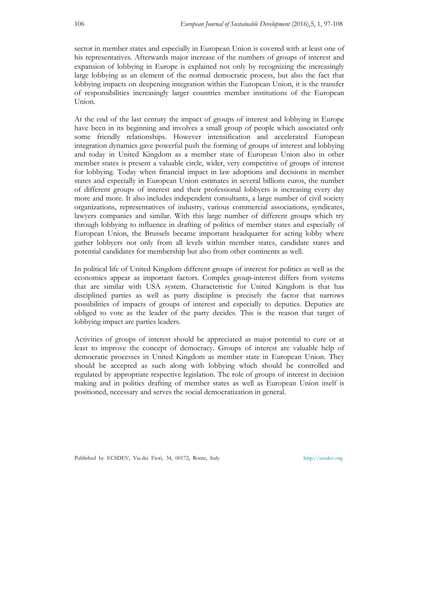sector in member states and especially in European Union is covered with at least one of his representatives. Afterwards major increase of the numbers of groups of interest and expansion of lobbying in Europe is explained not only by recognizing the increasingly large lobbying as an element of the normal democratic process, but also the fact that lobbying impacts on deepening integration within the European Union, it is the transfer of responsibilities increasingly larger countries member institutions of the European Union.

At the end of the last century the impact of groups of interest and lobbying in Europe have been in its beginning and involves a small group of people which associated only some friendly relationships. However intensification and accelerated European integration dynamics gave powerful push the forming of groups of interest and lobbying and today in United Kingdom as a member state of European Union also in other member states is present a valuable circle, wider, very competitive of groups of interest for lobbying. Today when financial impact in law adoptions and decisions in member states and especially in European Union estimates in several billions euros, the number of different groups of interest and their professional lobbyers is increasing every day more and more. It also includes independent consultants, a large number of civil society organizations, representatives of industry, various commercial associations, syndicates, lawyers companies and similar. With this large number of different groups which try through lobbying to influence in drafting of politics of member states and especially of European Union, the Brussels became important headquarter for acting lobby where gather lobbyers not only from all levels within member states, candidate states and potential candidates for membership but also from other continents as well.

In political life of United Kingdom different groups of interest for politics as well as the economics appear as important factors. Complex group-interest differs from systems that are similar with USA system. Characteristic for United Kingdom is that has disciplined parties as well as party discipline is precisely the factor that narrows possibilities of impacts of groups of interest and especially to deputies. Deputies are obliged to vote as the leader of the party decides. This is the reason that target of lobbying impact are parties leaders.

Activities of groups of interest should be appreciated as major potential to cure or at least to improve the concept of democracy. Groups of interest are valuable help of democratic processes in United Kingdom as member state in European Union. They should be accepted as such along with lobbying which should be controlled and regulated by appropriate respective legislation. The role of groups of interest in decision making and in politics drafting of member states as well as European Union itself is positioned, necessary and serves the social democratization in general.